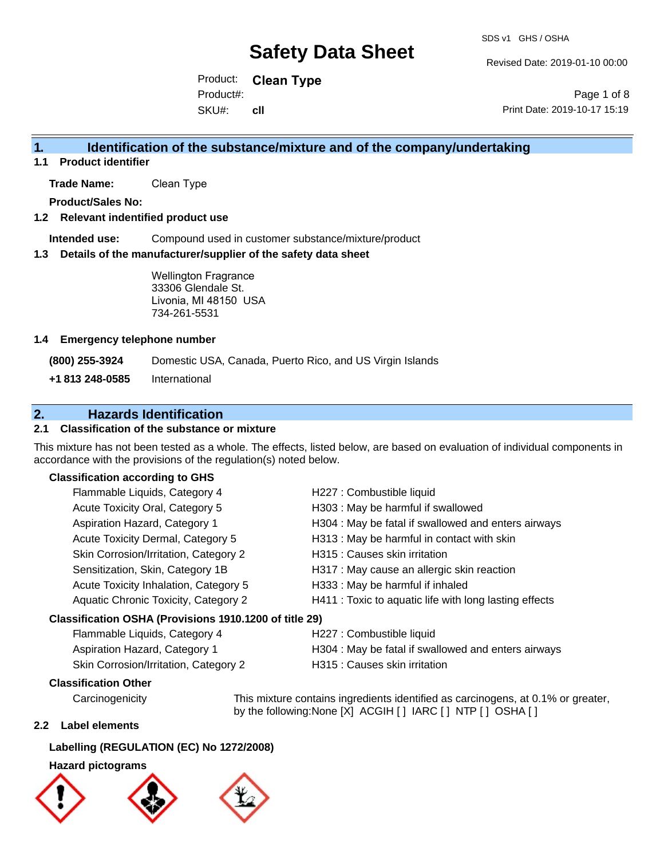Revised Date: 2019-01-10 00:00

Product: **Clean Type** SKU#: Product#: **cll**

Page 1 of 8 Print Date: 2019-10-17 15:19

### **1. Identification of the substance/mixture and of the company/undertaking**

**1.1 Product identifier**

**Trade Name:** Clean Type

**Product/Sales No:**

#### **1.2 Relevant indentified product use**

**Intended use:** Compound used in customer substance/mixture/product

#### **1.3 Details of the manufacturer/supplier of the safety data sheet**

Wellington Fragrance 33306 Glendale St. Livonia, MI 48150 USA 734-261-5531

#### **1.4 Emergency telephone number**

**(800) 255-3924** Domestic USA, Canada, Puerto Rico, and US Virgin Islands

**+1 813 248-0585** International

### **2. Hazards Identification**

#### **2.1 Classification of the substance or mixture**

This mixture has not been tested as a whole. The effects, listed below, are based on evaluation of individual components in accordance with the provisions of the regulation(s) noted below.

#### **Classification according to GHS**

| Flammable Liquids, Category 4                          | H227 : Combustible liquid                              |
|--------------------------------------------------------|--------------------------------------------------------|
| Acute Toxicity Oral, Category 5                        | H303 : May be harmful if swallowed                     |
| Aspiration Hazard, Category 1                          | H304 : May be fatal if swallowed and enters airways    |
| Acute Toxicity Dermal, Category 5                      | H313 : May be harmful in contact with skin             |
| Skin Corrosion/Irritation, Category 2                  | H315 : Causes skin irritation                          |
| Sensitization, Skin, Category 1B                       | H317 : May cause an allergic skin reaction             |
| Acute Toxicity Inhalation, Category 5                  | H333: May be harmful if inhaled                        |
| Aquatic Chronic Toxicity, Category 2                   | H411 : Toxic to aquatic life with long lasting effects |
| Classification OSHA (Provisions 1910.1200 of title 29) |                                                        |
| Flammable Liquids, Category 4                          | H227 : Combustible liquid                              |

| $\frac{1}{2}$                         | <b>INSURIAL CONTROLS</b>                            |
|---------------------------------------|-----------------------------------------------------|
| Aspiration Hazard, Category 1         | H304 : May be fatal if swallowed and enters airways |
| Skin Corrosion/Irritation, Category 2 | H315 : Causes skin irritation                       |

#### **Classification Other**

Carcinogenicity This mixture contains ingredients identified as carcinogens, at 0.1% or greater, by the following:None [X] ACGIH [] IARC [] NTP [] OSHA []

#### **2.2 Label elements**

#### **Labelling (REGULATION (EC) No 1272/2008)**

#### **Hazard pictograms**





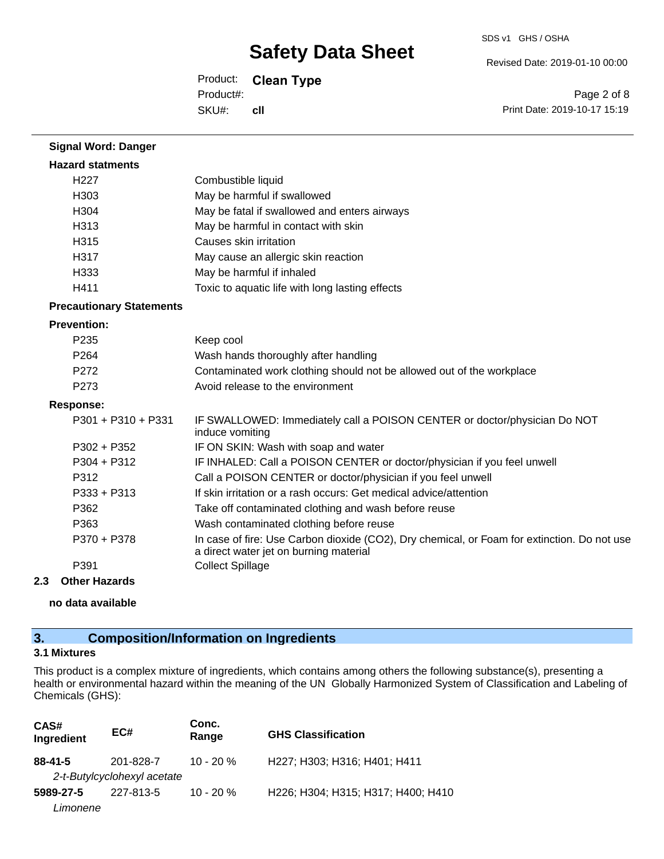Revised Date: 2019-01-10 00:00

Product: **Clean Type** SKU#: Product#: **cll**

Page 2 of 8 Print Date: 2019-10-17 15:19

| <b>Signal Word: Danger</b>      |                                                                                                                                       |
|---------------------------------|---------------------------------------------------------------------------------------------------------------------------------------|
| <b>Hazard statments</b>         |                                                                                                                                       |
| H <sub>227</sub>                | Combustible liquid                                                                                                                    |
| H303                            | May be harmful if swallowed                                                                                                           |
| H304                            | May be fatal if swallowed and enters airways                                                                                          |
| H313                            | May be harmful in contact with skin                                                                                                   |
| H315                            | Causes skin irritation                                                                                                                |
| H317                            | May cause an allergic skin reaction                                                                                                   |
| H333                            | May be harmful if inhaled                                                                                                             |
| H411                            | Toxic to aquatic life with long lasting effects                                                                                       |
| <b>Precautionary Statements</b> |                                                                                                                                       |
| <b>Prevention:</b>              |                                                                                                                                       |
| P235                            | Keep cool                                                                                                                             |
| P <sub>264</sub>                | Wash hands thoroughly after handling                                                                                                  |
| P272                            | Contaminated work clothing should not be allowed out of the workplace                                                                 |
| P273                            | Avoid release to the environment                                                                                                      |
| <b>Response:</b>                |                                                                                                                                       |
| P301 + P310 + P331              | IF SWALLOWED: Immediately call a POISON CENTER or doctor/physician Do NOT<br>induce vomiting                                          |
| $P302 + P352$                   | IF ON SKIN: Wash with soap and water                                                                                                  |
| $P304 + P312$                   | IF INHALED: Call a POISON CENTER or doctor/physician if you feel unwell                                                               |
| P312                            | Call a POISON CENTER or doctor/physician if you feel unwell                                                                           |
| P333 + P313                     | If skin irritation or a rash occurs: Get medical advice/attention                                                                     |
| P362                            | Take off contaminated clothing and wash before reuse                                                                                  |
| P363                            | Wash contaminated clothing before reuse                                                                                               |
| P370 + P378                     | In case of fire: Use Carbon dioxide (CO2), Dry chemical, or Foam for extinction. Do not use<br>a direct water jet on burning material |
| P391                            | <b>Collect Spillage</b>                                                                                                               |

#### **2.3 Other Hazards**

**no data available**

### **3. Composition/Information on Ingredients**

### **3.1 Mixtures**

This product is a complex mixture of ingredients, which contains among others the following substance(s), presenting a health or environmental hazard within the meaning of the UN Globally Harmonized System of Classification and Labeling of Chemicals (GHS):

| CAS#<br>Ingredient | EC#                                      | Conc.<br>Range | <b>GHS Classification</b>          |
|--------------------|------------------------------------------|----------------|------------------------------------|
| $88 - 41 - 5$      | 201-828-7<br>2-t-Butylcyclohexyl acetate | $10 - 20 \%$   | H227; H303; H316; H401; H411       |
| 5989-27-5          | 227-813-5                                | $10 - 20%$     | H226; H304; H315; H317; H400; H410 |
| Limonene           |                                          |                |                                    |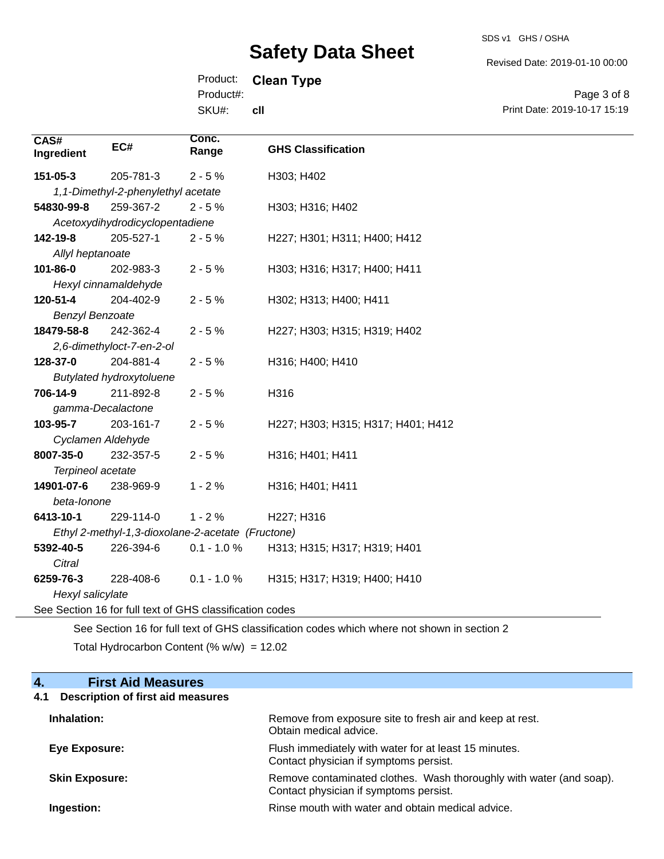SDS v1 GHS / OSHA

Revised Date: 2019-01-10 00:00

Print Date: 2019-10-17 15:19

Page 3 of 8

Product: **Clean Type**

Product#:

SKU#: **cll**

| CAS#<br>Ingredient     | EC#                                | Conc.<br>Range                                           | <b>GHS Classification</b>          |
|------------------------|------------------------------------|----------------------------------------------------------|------------------------------------|
| 151-05-3               | 205-781-3                          | $2 - 5%$                                                 | H303; H402                         |
|                        | 1,1-Dimethyl-2-phenylethyl acetate |                                                          |                                    |
| 54830-99-8             | 259-367-2                          | $2 - 5%$                                                 | H303; H316; H402                   |
|                        | Acetoxydihydrodicyclopentadiene    |                                                          |                                    |
| 142-19-8               | 205-527-1                          | $2 - 5%$                                                 | H227; H301; H311; H400; H412       |
| Allyl heptanoate       |                                    |                                                          |                                    |
| 101-86-0               | 202-983-3                          | $2 - 5%$                                                 | H303; H316; H317; H400; H411       |
|                        | Hexyl cinnamaldehyde               |                                                          |                                    |
| 120-51-4               | 204-402-9                          | $2 - 5%$                                                 | H302; H313; H400; H411             |
| <b>Benzyl Benzoate</b> |                                    |                                                          |                                    |
| 18479-58-8             | 242-362-4                          | $2 - 5%$                                                 | H227; H303; H315; H319; H402       |
|                        | 2,6-dimethyloct-7-en-2-ol          |                                                          |                                    |
| 128-37-0               | 204-881-4                          | $2 - 5%$                                                 | H316; H400; H410                   |
|                        | <b>Butylated hydroxytoluene</b>    |                                                          |                                    |
| 706-14-9               | 211-892-8                          | $2 - 5%$                                                 | H316                               |
| gamma-Decalactone      |                                    |                                                          |                                    |
| 103-95-7               | 203-161-7                          | $2 - 5%$                                                 | H227; H303; H315; H317; H401; H412 |
| Cyclamen Aldehyde      |                                    |                                                          |                                    |
| 8007-35-0              | 232-357-5                          | $2 - 5%$                                                 | H316; H401; H411                   |
| Terpineol acetate      |                                    |                                                          |                                    |
| 14901-07-6             | 238-969-9                          | $1 - 2%$                                                 | H316; H401; H411                   |
| beta-lonone            |                                    |                                                          |                                    |
| 6413-10-1              | 229-114-0                          | $1 - 2%$                                                 | H227; H316                         |
|                        |                                    | Ethyl 2-methyl-1,3-dioxolane-2-acetate (Fructone)        |                                    |
| 5392-40-5              | 226-394-6                          | $0.1 - 1.0 \%$                                           | H313; H315; H317; H319; H401       |
| Citral                 |                                    |                                                          |                                    |
| 6259-76-3              | 228-408-6                          | $0.1 - 1.0 %$                                            | H315; H317; H319; H400; H410       |
| Hexyl salicylate       |                                    |                                                          |                                    |
|                        |                                    | See Section 16 for full text of GHS classification codes |                                    |
|                        |                                    |                                                          |                                    |

See Section 16 for full text of GHS classification codes which where not shown in section 2 Total Hydrocarbon Content  $(\% w/w) = 12.02$ 

### **4. First Aid Measures**

## **4.1 Description of first aid measures**

| Inhalation:           | Remove from exposure site to fresh air and keep at rest.<br>Obtain medical advice.                            |
|-----------------------|---------------------------------------------------------------------------------------------------------------|
| Eye Exposure:         | Flush immediately with water for at least 15 minutes.<br>Contact physician if symptoms persist.               |
| <b>Skin Exposure:</b> | Remove contaminated clothes. Wash thoroughly with water (and soap).<br>Contact physician if symptoms persist. |
| Ingestion:            | Rinse mouth with water and obtain medical advice.                                                             |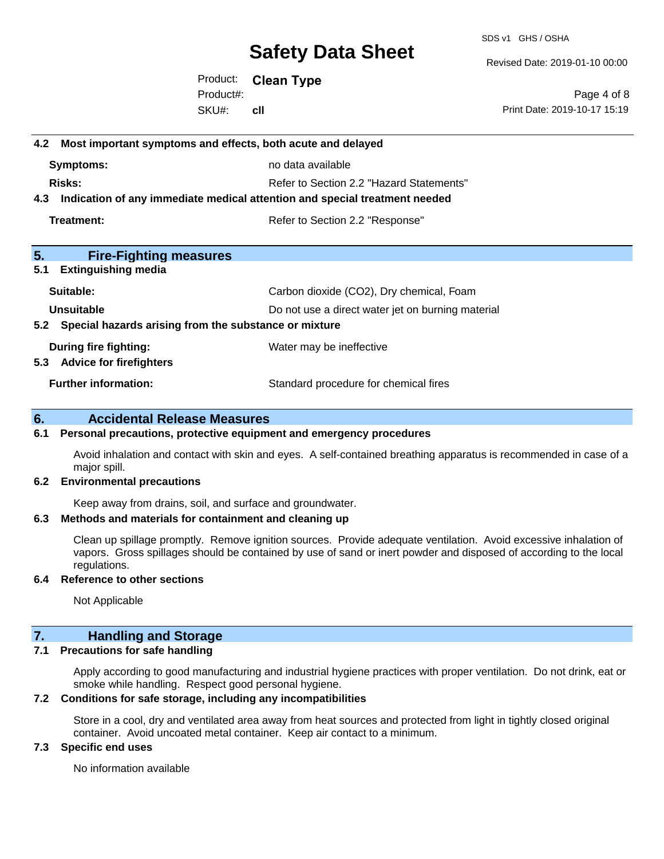SDS v1 GHS / OSHA

Revised Date: 2019-01-10 00:00

Product: **Clean Type** SKU#: Product#: **cll**

Page 4 of 8 Print Date: 2019-10-17 15:19

# **4.2 Most important symptoms and effects, both acute and delayed Symptoms:** no data available **Risks:** Risks: Refer to Section 2.2 "Hazard Statements" **4.3 Indication of any immediate medical attention and special treatment needed Treatment:** Treatment: Treatment: Refer to Section 2.2 "Response" **5. Fire-Fighting measures 5.1 Extinguishing media** Suitable: Carbon dioxide (CO2), Dry chemical, Foam **Unsuitable** Do not use a direct water jet on burning material **5.2 Special hazards arising from the substance or mixture During fire fighting:** Water may be ineffective **5.3 Advice for firefighters Further information:** Standard procedure for chemical fires

#### **6. Accidental Release Measures**

#### **6.1 Personal precautions, protective equipment and emergency procedures**

Avoid inhalation and contact with skin and eyes. A self-contained breathing apparatus is recommended in case of a major spill.

#### **6.2 Environmental precautions**

Keep away from drains, soil, and surface and groundwater.

#### **6.3 Methods and materials for containment and cleaning up**

Clean up spillage promptly. Remove ignition sources. Provide adequate ventilation. Avoid excessive inhalation of vapors. Gross spillages should be contained by use of sand or inert powder and disposed of according to the local regulations.

#### **6.4 Reference to other sections**

Not Applicable

#### **7. Handling and Storage**

#### **7.1 Precautions for safe handling**

Apply according to good manufacturing and industrial hygiene practices with proper ventilation. Do not drink, eat or smoke while handling. Respect good personal hygiene.

#### **7.2 Conditions for safe storage, including any incompatibilities**

Store in a cool, dry and ventilated area away from heat sources and protected from light in tightly closed original container. Avoid uncoated metal container. Keep air contact to a minimum.

#### **7.3 Specific end uses**

No information available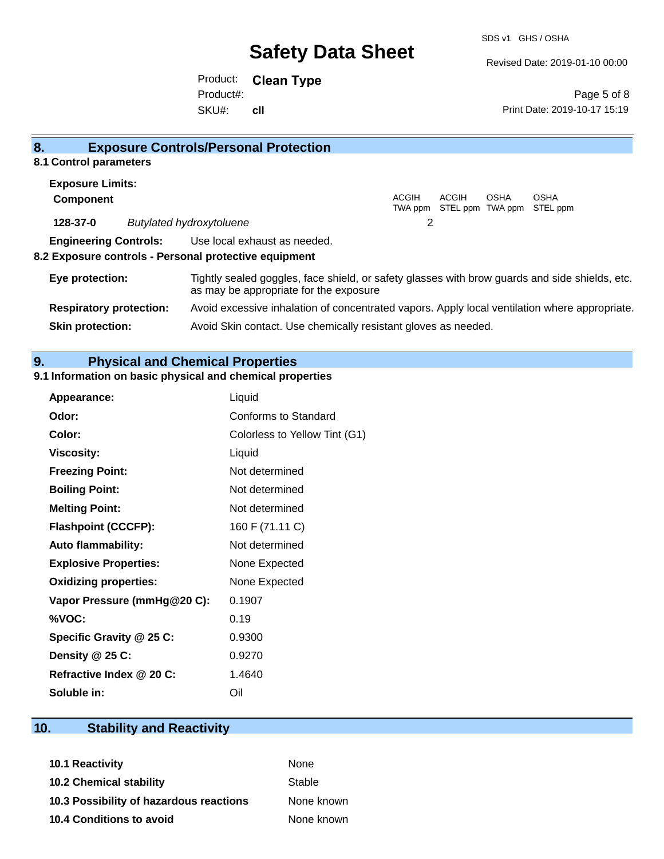SDS v1 GHS / OSHA

Revised Date: 2019-01-10 00:00

Product: **Clean Type** SKU#: Product#: **cll**

Page 5 of 8 Print Date: 2019-10-17 15:19

| 8.                             | <b>Exposure Controls/Personal Protection</b>                                                                                             |       |                                          |             |                         |
|--------------------------------|------------------------------------------------------------------------------------------------------------------------------------------|-------|------------------------------------------|-------------|-------------------------|
| 8.1 Control parameters         |                                                                                                                                          |       |                                          |             |                         |
| <b>Exposure Limits:</b>        |                                                                                                                                          |       |                                          |             |                         |
| <b>Component</b>               |                                                                                                                                          | ACGIH | <b>ACGIH</b><br>TWA ppm STEL ppm TWA ppm | <b>OSHA</b> | <b>OSHA</b><br>STEL ppm |
| 128-37-0                       | <b>Butylated hydroxytoluene</b>                                                                                                          | 2     |                                          |             |                         |
| <b>Engineering Controls:</b>   | Use local exhaust as needed.                                                                                                             |       |                                          |             |                         |
|                                | 8.2 Exposure controls - Personal protective equipment                                                                                    |       |                                          |             |                         |
| Eye protection:                | Tightly sealed goggles, face shield, or safety glasses with brow guards and side shields, etc.<br>as may be appropriate for the exposure |       |                                          |             |                         |
| <b>Respiratory protection:</b> | Avoid excessive inhalation of concentrated vapors. Apply local ventilation where appropriate.                                            |       |                                          |             |                         |
| <b>Skin protection:</b>        | Avoid Skin contact. Use chemically resistant gloves as needed.                                                                           |       |                                          |             |                         |

### **9. Physical and Chemical Properties**

### **9.1 Information on basic physical and chemical properties**

| Appearance:                  | Liquid                        |
|------------------------------|-------------------------------|
| Odor:                        | Conforms to Standard          |
| Color:                       | Colorless to Yellow Tint (G1) |
| <b>Viscosity:</b>            | Liquid                        |
| <b>Freezing Point:</b>       | Not determined                |
| <b>Boiling Point:</b>        | Not determined                |
| <b>Melting Point:</b>        | Not determined                |
| <b>Flashpoint (CCCFP):</b>   | 160 F (71.11 C)               |
| <b>Auto flammability:</b>    | Not determined                |
| <b>Explosive Properties:</b> | None Expected                 |
| <b>Oxidizing properties:</b> | None Expected                 |
| Vapor Pressure (mmHg@20 C):  | 0.1907                        |
| %VOC:                        | 0.19                          |
| Specific Gravity @ 25 C:     | 0.9300                        |
| Density @ 25 C:              | 0.9270                        |
| Refractive Index @ 20 C:     | 1.4640                        |
| Soluble in:                  | Oil                           |

# **10. Stability and Reactivity**

| 10.1 Reactivity                         | None       |
|-----------------------------------------|------------|
| <b>10.2 Chemical stability</b>          | Stable     |
| 10.3 Possibility of hazardous reactions | None known |
| 10.4 Conditions to avoid                | None known |
|                                         |            |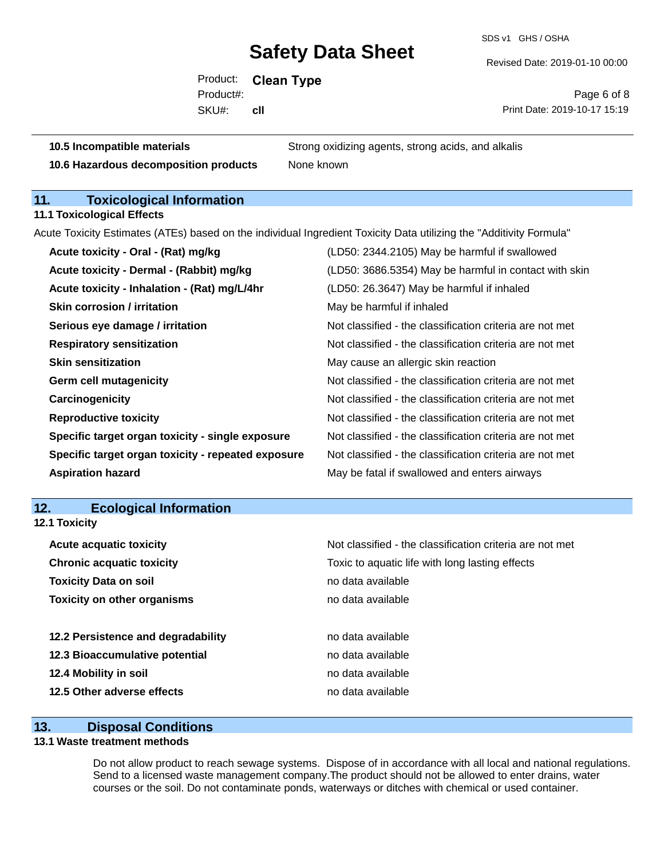SDS v1 GHS / OSHA

Revised Date: 2019-01-10 00:00

Product: **Clean Type** SKU#: Product#: **cll**

Page 6 of 8 Print Date: 2019-10-17 15:19

| 10.5 Incompatible materials           | Strong oxidizing agents, strong acids, and alkalis |
|---------------------------------------|----------------------------------------------------|
| 10.6 Hazardous decomposition products | None known                                         |

### **11. Toxicological Information**

**11.1 Toxicological Effects**

Acute Toxicity Estimates (ATEs) based on the individual Ingredient Toxicity Data utilizing the "Additivity Formula"

| Acute toxicity - Oral - (Rat) mg/kg                | (LD50: 2344.2105) May be harmful if swallowed            |
|----------------------------------------------------|----------------------------------------------------------|
| Acute toxicity - Dermal - (Rabbit) mg/kg           | (LD50: 3686.5354) May be harmful in contact with skin    |
| Acute toxicity - Inhalation - (Rat) mg/L/4hr       | (LD50: 26.3647) May be harmful if inhaled                |
| <b>Skin corrosion / irritation</b>                 | May be harmful if inhaled                                |
| Serious eye damage / irritation                    | Not classified - the classification criteria are not met |
| <b>Respiratory sensitization</b>                   | Not classified - the classification criteria are not met |
| <b>Skin sensitization</b>                          | May cause an allergic skin reaction                      |
| <b>Germ cell mutagenicity</b>                      | Not classified - the classification criteria are not met |
| Carcinogenicity                                    | Not classified - the classification criteria are not met |
| <b>Reproductive toxicity</b>                       | Not classified - the classification criteria are not met |
| Specific target organ toxicity - single exposure   | Not classified - the classification criteria are not met |
| Specific target organ toxicity - repeated exposure | Not classified - the classification criteria are not met |
| <b>Aspiration hazard</b>                           | May be fatal if swallowed and enters airways             |

### **12. Ecological Information**

| Not classified - the classification criteria are not met |
|----------------------------------------------------------|
| Toxic to aquatic life with long lasting effects          |
| no data available                                        |
| no data available                                        |
| no data available                                        |
| no data available                                        |
| no data available                                        |
| no data available                                        |
|                                                          |

#### **13. Disposal Conditions**

#### **13.1 Waste treatment methods**

Do not allow product to reach sewage systems. Dispose of in accordance with all local and national regulations. Send to a licensed waste management company.The product should not be allowed to enter drains, water courses or the soil. Do not contaminate ponds, waterways or ditches with chemical or used container.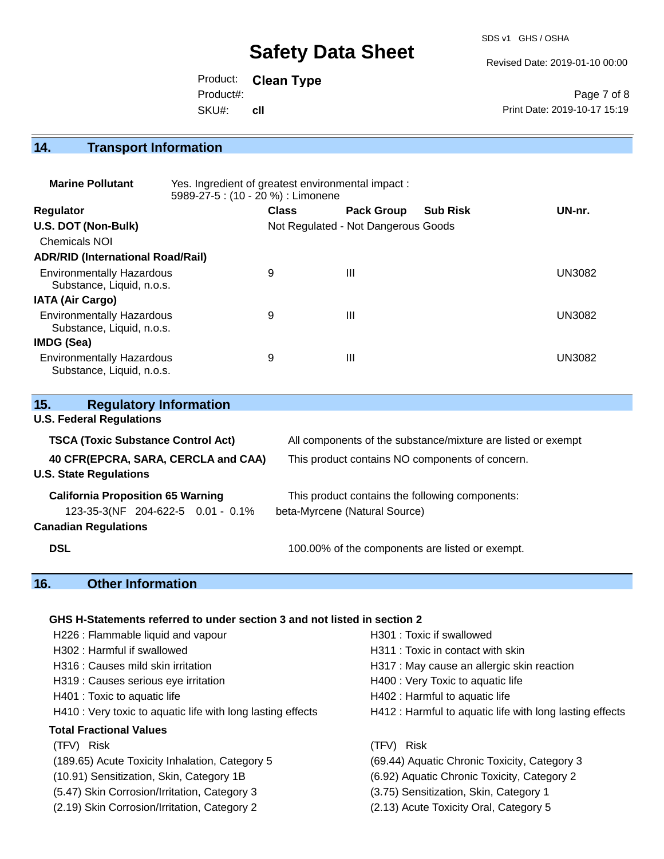SDS v1 GHS / OSHA

Revised Date: 2019-01-10 00:00

Product: **Clean Type** SKU#: Product#: **cll**

Page 7 of 8 Print Date: 2019-10-17 15:19

# **14. Transport Information**

| <b>Marine Pollutant</b>                                       | Yes. Ingredient of greatest environmental impact:<br>5989-27-5 : (10 - 20 %) : Limonene |              |                                     |                 |               |
|---------------------------------------------------------------|-----------------------------------------------------------------------------------------|--------------|-------------------------------------|-----------------|---------------|
| <b>Regulator</b>                                              |                                                                                         | <b>Class</b> | <b>Pack Group</b>                   | <b>Sub Risk</b> | UN-nr.        |
| U.S. DOT (Non-Bulk)                                           |                                                                                         |              | Not Regulated - Not Dangerous Goods |                 |               |
| <b>Chemicals NOI</b>                                          |                                                                                         |              |                                     |                 |               |
| <b>ADR/RID (International Road/Rail)</b>                      |                                                                                         |              |                                     |                 |               |
| <b>Environmentally Hazardous</b><br>Substance, Liquid, n.o.s. |                                                                                         | 9            | Ш                                   |                 | <b>UN3082</b> |
| <b>IATA (Air Cargo)</b>                                       |                                                                                         |              |                                     |                 |               |
| <b>Environmentally Hazardous</b><br>Substance, Liquid, n.o.s. |                                                                                         | 9            | Ш                                   |                 | <b>UN3082</b> |
| IMDG (Sea)                                                    |                                                                                         |              |                                     |                 |               |
| <b>Environmentally Hazardous</b><br>Substance, Liquid, n.o.s. |                                                                                         | 9            | Ш                                   |                 | <b>UN3082</b> |

| 15.<br><b>Regulatory Information</b>      |                                                              |  |
|-------------------------------------------|--------------------------------------------------------------|--|
| <b>U.S. Federal Regulations</b>           |                                                              |  |
| <b>TSCA (Toxic Substance Control Act)</b> | All components of the substance/mixture are listed or exempt |  |
| 40 CFR(EPCRA, SARA, CERCLA and CAA)       | This product contains NO components of concern.              |  |
| <b>U.S. State Regulations</b>             |                                                              |  |
| <b>California Proposition 65 Warning</b>  | This product contains the following components:              |  |
| 123-35-3(NF 204-622-5 0.01 - 0.1%         | beta-Myrcene (Natural Source)                                |  |
| <b>Canadian Regulations</b>               |                                                              |  |
| <b>DSL</b>                                | 100.00% of the components are listed or exempt.              |  |

# **16. Other Information**

#### **GHS H-Statements referred to under section 3 and not listed in section 2**

| H226 : Flammable liquid and vapour                          | H301 : Toxic if swallowed                                |
|-------------------------------------------------------------|----------------------------------------------------------|
| H302: Harmful if swallowed                                  | H311 : Toxic in contact with skin                        |
| H316 : Causes mild skin irritation                          | H317 : May cause an allergic skin reaction               |
| H319 : Causes serious eye irritation                        | H400 : Very Toxic to aquatic life                        |
| H401 : Toxic to aquatic life                                | H402 : Harmful to aquatic life                           |
| H410 : Very toxic to aquatic life with long lasting effects | H412 : Harmful to aquatic life with long lasting effects |
| Total Fractional Values                                     |                                                          |
| (TFV) Risk                                                  | TFV) Risk                                                |
| (189.65) Acute Toxicity Inhalation, Category 5              | (69.44) Aquatic Chronic Toxicity, Category 3             |
| (10.91) Sensitization, Skin, Category 1B                    | (6.92) Aquatic Chronic Toxicity, Category 2              |
| (5.47) Skin Corrosion/Irritation, Category 3                | (3.75) Sensitization, Skin, Category 1                   |
| (2.19) Skin Corrosion/Irritation, Category 2                | (2.13) Acute Toxicity Oral, Category 5                   |